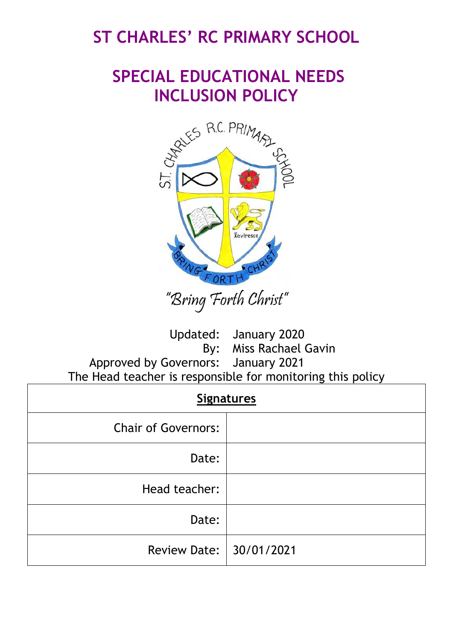# **ST CHARLES' RC PRIMARY SCHOOL**

# **SPECIAL EDUCATIONAL NEEDS INCLUSION POLICY**



"Bring Forth Christ"

Updated: January 2020 By: Miss Rachael Gavin Approved by Governors: January 2021 The Head teacher is responsible for monitoring this policy

| <b>Signatures</b>          |  |
|----------------------------|--|
| <b>Chair of Governors:</b> |  |
| Date:                      |  |
| Head teacher:              |  |
| Date:                      |  |
| Review Date:   30/01/2021  |  |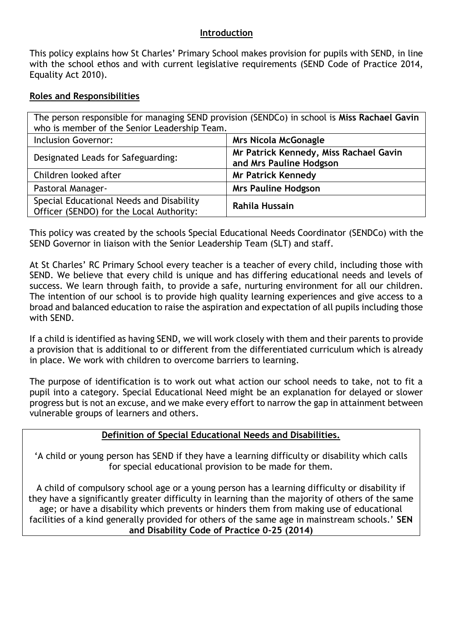#### **Introduction**

This policy explains how St Charles' Primary School makes provision for pupils with SEND, in line with the school ethos and with current legislative requirements (SEND Code of Practice 2014, Equality Act 2010).

## **Roles and Responsibilities**

| The person responsible for managing SEND provision (SENDCo) in school is Miss Rachael Gavin<br>who is member of the Senior Leadership Team. |                                                                   |
|---------------------------------------------------------------------------------------------------------------------------------------------|-------------------------------------------------------------------|
| <b>Inclusion Governor:</b>                                                                                                                  | <b>Mrs Nicola McGonagle</b>                                       |
| Designated Leads for Safeguarding:                                                                                                          | Mr Patrick Kennedy, Miss Rachael Gavin<br>and Mrs Pauline Hodgson |
| Children looked after                                                                                                                       | <b>Mr Patrick Kennedy</b>                                         |
| Pastoral Manager-                                                                                                                           | <b>Mrs Pauline Hodgson</b>                                        |
| Special Educational Needs and Disability<br>Officer (SENDO) for the Local Authority:                                                        | Rahila Hussain                                                    |

This policy was created by the schools Special Educational Needs Coordinator (SENDCo) with the SEND Governor in liaison with the Senior Leadership Team (SLT) and staff.

At St Charles' RC Primary School every teacher is a teacher of every child, including those with SEND. We believe that every child is unique and has differing educational needs and levels of success. We learn through faith, to provide a safe, nurturing environment for all our children. The intention of our school is to provide high quality learning experiences and give access to a broad and balanced education to raise the aspiration and expectation of all pupils including those with SEND.

If a child is identified as having SEND, we will work closely with them and their parents to provide a provision that is additional to or different from the differentiated curriculum which is already in place. We work with children to overcome barriers to learning.

The purpose of identification is to work out what action our school needs to take, not to fit a pupil into a category. Special Educational Need might be an explanation for delayed or slower progress but is not an excuse, and we make every effort to narrow the gap in attainment between vulnerable groups of learners and others.

## **Definition of Special Educational Needs and Disabilities.**

'A child or young person has SEND if they have a learning difficulty or disability which calls for special educational provision to be made for them.

A child of compulsory school age or a young person has a learning difficulty or disability if they have a significantly greater difficulty in learning than the majority of others of the same age; or have a disability which prevents or hinders them from making use of educational facilities of a kind generally provided for others of the same age in mainstream schools.' **SEN and Disability Code of Practice 0-25 (2014)**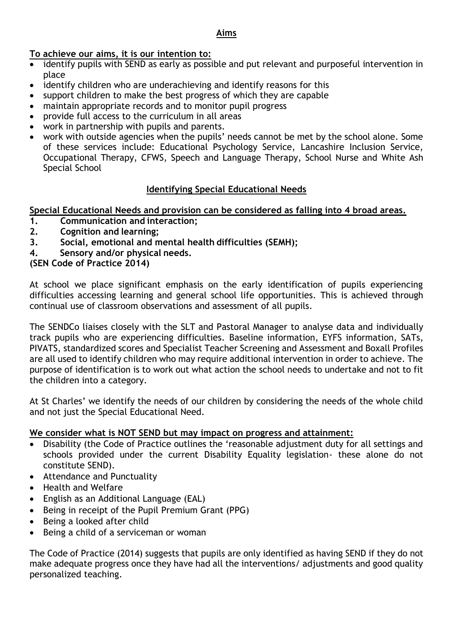## **Aims**

## **To achieve our aims, it is our intention to:**

- identify pupils with SEND as early as possible and put relevant and purposeful intervention in place
- identify children who are underachieving and identify reasons for this
- support children to make the best progress of which they are capable
- maintain appropriate records and to monitor pupil progress
- provide full access to the curriculum in all areas
- work in partnership with pupils and parents.
- work with outside agencies when the pupils' needs cannot be met by the school alone. Some of these services include: Educational Psychology Service, Lancashire Inclusion Service, Occupational Therapy, CFWS, Speech and Language Therapy, School Nurse and White Ash Special School

# **Identifying Special Educational Needs**

## **Special Educational Needs and provision can be considered as falling into 4 broad areas.**

- **1. Communication and interaction;**
- **2. Cognition and learning;**
- **3. Social, emotional and mental health difficulties (SEMH);**
- **4. Sensory and/or physical needs.**

# **(SEN Code of Practice 2014)**

At school we place significant emphasis on the early identification of pupils experiencing difficulties accessing learning and general school life opportunities. This is achieved through continual use of classroom observations and assessment of all pupils.

The SENDCo liaises closely with the SLT and Pastoral Manager to analyse data and individually track pupils who are experiencing difficulties. Baseline information, EYFS information, SATs, PIVATS, standardized scores and Specialist Teacher Screening and Assessment and Boxall Profiles are all used to identify children who may require additional intervention in order to achieve. The purpose of identification is to work out what action the school needs to undertake and not to fit the children into a category.

At St Charles' we identify the needs of our children by considering the needs of the whole child and not just the Special Educational Need.

## **We consider what is NOT SEND but may impact on progress and attainment:**

- Disability (the Code of Practice outlines the 'reasonable adjustment duty for all settings and schools provided under the current Disability Equality legislation- these alone do not constitute SEND).
- Attendance and Punctuality
- Health and Welfare
- English as an Additional Language (EAL)
- Being in receipt of the Pupil Premium Grant (PPG)
- Being a looked after child
- Being a child of a serviceman or woman

The Code of Practice (2014) suggests that pupils are only identified as having SEND if they do not make adequate progress once they have had all the interventions/ adjustments and good quality personalized teaching.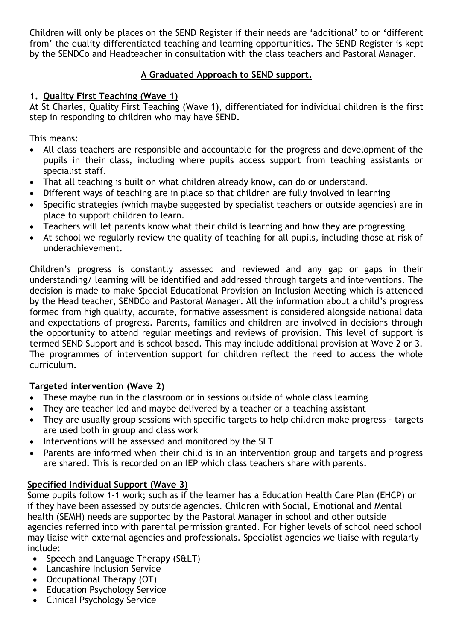Children will only be places on the SEND Register if their needs are 'additional' to or 'different from' the quality differentiated teaching and learning opportunities. The SEND Register is kept by the SENDCo and Headteacher in consultation with the class teachers and Pastoral Manager.

# **A Graduated Approach to SEND support.**

## **1. Quality First Teaching (Wave 1)**

At St Charles, Quality First Teaching (Wave 1), differentiated for individual children is the first step in responding to children who may have SEND.

This means:

- All class teachers are responsible and accountable for the progress and development of the pupils in their class, including where pupils access support from teaching assistants or specialist staff.
- That all teaching is built on what children already know, can do or understand.
- Different ways of teaching are in place so that children are fully involved in learning
- Specific strategies (which maybe suggested by specialist teachers or outside agencies) are in place to support children to learn.
- Teachers will let parents know what their child is learning and how they are progressing
- At school we regularly review the quality of teaching for all pupils, including those at risk of underachievement.

Children's progress is constantly assessed and reviewed and any gap or gaps in their understanding/ learning will be identified and addressed through targets and interventions. The decision is made to make Special Educational Provision an Inclusion Meeting which is attended by the Head teacher, SENDCo and Pastoral Manager. All the information about a child's progress formed from high quality, accurate, formative assessment is considered alongside national data and expectations of progress. Parents, families and children are involved in decisions through the opportunity to attend regular meetings and reviews of provision. This level of support is termed SEND Support and is school based. This may include additional provision at Wave 2 or 3. The programmes of intervention support for children reflect the need to access the whole curriculum.

# **Targeted intervention (Wave 2)**

- These maybe run in the classroom or in sessions outside of whole class learning
- They are teacher led and maybe delivered by a teacher or a teaching assistant
- They are usually group sessions with specific targets to help children make progress targets are used both in group and class work
- Interventions will be assessed and monitored by the SLT
- Parents are informed when their child is in an intervention group and targets and progress are shared. This is recorded on an IEP which class teachers share with parents.

# **Specified Individual Support (Wave 3)**

Some pupils follow 1-1 work; such as if the learner has a Education Health Care Plan (EHCP) or if they have been assessed by outside agencies. Children with Social, Emotional and Mental health (SEMH) needs are supported by the Pastoral Manager in school and other outside agencies referred into with parental permission granted. For higher levels of school need school may liaise with external agencies and professionals. Specialist agencies we liaise with regularly include:

- Speech and Language Therapy  $(SELT)$
- Lancashire Inclusion Service
- Occupational Therapy (OT)
- Education Psychology Service
- Clinical Psychology Service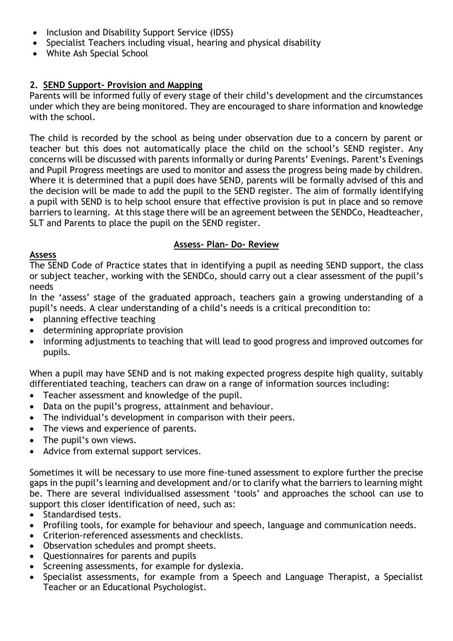- Inclusion and Disability Support Service (IDSS)
- Specialist Teachers including visual, hearing and physical disability
- White Ash Special School

# **2. SEND Support- Provision and Mapping**

Parents will be informed fully of every stage of their child's development and the circumstances under which they are being monitored. They are encouraged to share information and knowledge with the school.

The child is recorded by the school as being under observation due to a concern by parent or teacher but this does not automatically place the child on the school's SEND register. Any concerns will be discussed with parents informally or during Parents' Evenings. Parent's Evenings and Pupil Progress meetings are used to monitor and assess the progress being made by children. Where it is determined that a pupil does have SEND, parents will be formally advised of this and the decision will be made to add the pupil to the SEND register. The aim of formally identifying a pupil with SEND is to help school ensure that effective provision is put in place and so remove barriers to learning. At this stage there will be an agreement between the SENDCo, Headteacher, SLT and Parents to place the pupil on the SEND register.

# **Assess- Plan- Do- Review**

#### **Assess**

The SEND Code of Practice states that in identifying a pupil as needing SEND support, the class or subject teacher, working with the SENDCo, should carry out a clear assessment of the pupil's needs

In the 'assess' stage of the graduated approach, teachers gain a growing understanding of a pupil's needs. A clear understanding of a child's needs is a critical precondition to:

- planning effective teaching
- determining appropriate provision
- informing adjustments to teaching that will lead to good progress and improved outcomes for pupils.

When a pupil may have SEND and is not making expected progress despite high quality, suitably differentiated teaching, teachers can draw on a range of information sources including:

- Teacher assessment and knowledge of the pupil.
- Data on the pupil's progress, attainment and behaviour.
- The individual's development in comparison with their peers.
- The views and experience of parents.
- The pupil's own views.
- Advice from external support services.

Sometimes it will be necessary to use more fine-tuned assessment to explore further the precise gaps in the pupil's learning and development and/or to clarify what the barriers to learning might be. There are several individualised assessment 'tools' and approaches the school can use to support this closer identification of need, such as:

- Standardised tests.
- Profiling tools, for example for behaviour and speech, language and communication needs.
- Criterion-referenced assessments and checklists.
- Observation schedules and prompt sheets.
- Questionnaires for parents and pupils
- Screening assessments, for example for dyslexia.
- Specialist assessments, for example from a Speech and Language Therapist, a Specialist Teacher or an Educational Psychologist.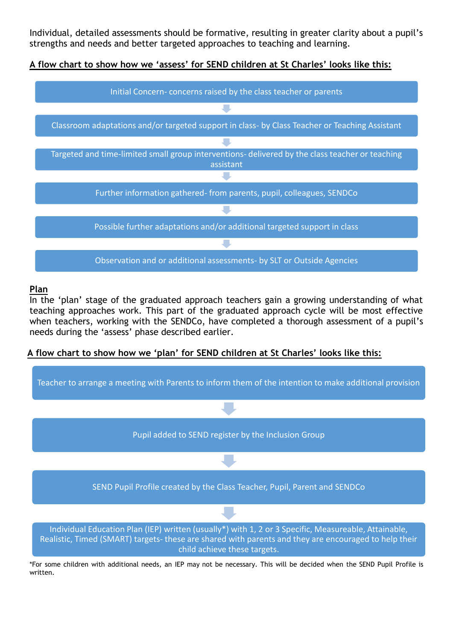Individual, detailed assessments should be formative, resulting in greater clarity about a pupil's strengths and needs and better targeted approaches to teaching and learning.

**A flow chart to show how we 'assess' for SEND children at St Charles' looks like this:**



#### **Plan**

In the 'plan' stage of the graduated approach teachers gain a growing understanding of what teaching approaches work. This part of the graduated approach cycle will be most effective when teachers, working with the SENDCo, have completed a thorough assessment of a pupil's needs during the 'assess' phase described earlier.

## **A flow chart to show how we 'plan' for SEND children at St Charles' looks like this:**



\*For some children with additional needs, an IEP may not be necessary. This will be decided when the SEND Pupil Profile is written.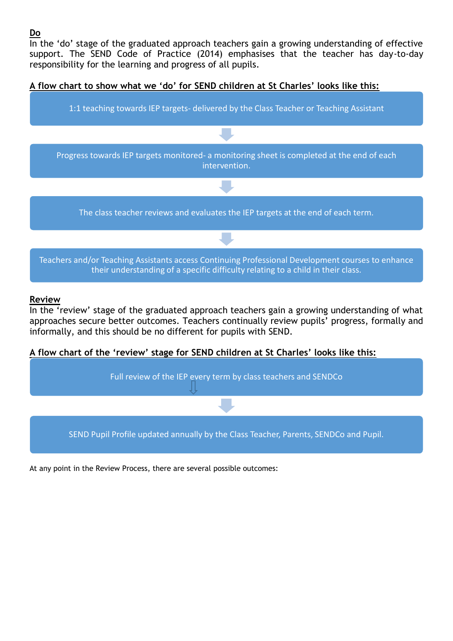## **Do**

In the 'do' stage of the graduated approach teachers gain a growing understanding of effective support. The SEND Code of Practice (2014) emphasises that the teacher has day-to-day responsibility for the learning and progress of all pupils.

### **A flow chart to show what we 'do' for SEND children at St Charles' looks like this:**



#### **Review**

In the 'review' stage of the graduated approach teachers gain a growing understanding of what approaches secure better outcomes. Teachers continually review pupils' progress, formally and informally, and this should be no different for pupils with SEND.

#### **A flow chart of the 'review' stage for SEND children at St Charles' looks like this:**



At any point in the Review Process, there are several possible outcomes: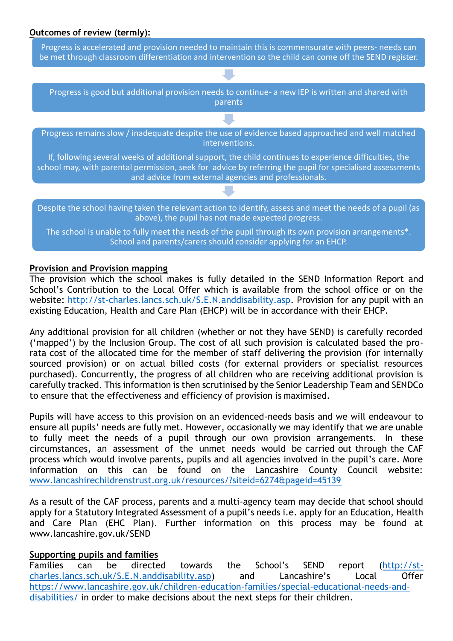#### **Outcomes of review (termly):**

Progress is accelerated and provision needed to maintain this is commensurate with peers- needs can be met through classroom differentiation and intervention so the child can come off the SEND register.

Progress is good but additional provision needs to continue- a new IEP is written and shared with parents

Progress remains slow / inadequate despite the use of evidence based approached and well matched interventions.

If, following several weeks of additional support, the child continues to experience difficulties, the school may, with parental permission, seek for advice by referring the pupil for specialised assessments and advice from external agencies and professionals.

Despite the school having taken the relevant action to identify, assess and meet the needs of a pupil (as above), the pupil has not made expected progress.

The school is unable to fully meet the needs of the pupil through its own provision arrangements\*. School and parents/carers should consider applying for an EHCP.

#### **Provision and Provision mapping**

The provision which the school makes is fully detailed in the SEND Information Report and School's Contribution to the Local Offer which is available from the school office or on the website: [http://st-charles.lancs.sch.uk/S.E.N.anddisability.asp.](http://st-charles.lancs.sch.uk/S.E.N.anddisability.aspP) Provision for any pupil with an existing Education, Health and Care Plan (EHCP) will be in accordance with their EHCP.

Any additional provision for all children (whether or not they have SEND) is carefully recorded ('mapped') by the Inclusion Group. The cost of all such provision is calculated based the prorata cost of the allocated time for the member of staff delivering the provision (for internally sourced provision) or on actual billed costs (for external providers or specialist resources purchased). Concurrently, the progress of all children who are receiving additional provision is carefully tracked. This information is then scrutinised by the Senior Leadership Team and SENDCo to ensure that the effectiveness and efficiency of provision is maximised.

Pupils will have access to this provision on an evidenced-needs basis and we will endeavour to ensure all pupils' needs are fully met. However, occasionally we may identify that we are unable to fully meet the needs of a pupil through our own provision arrangements. In these circumstances, an assessment of the unmet needs would be carried out through the CAF process which would involve parents, pupils and all agencies involved in the pupil's care. More information on this can be found on the Lancashire County Council website: [www.lancashirechildrenstrust.org.uk/resources/?siteid=6274&pageid=45139](http://www.lancashirechildrenstrust.org.uk/resources/?siteid=6274&pageid=45139)

As a result of the CAF process, parents and a multi-agency team may decide that school should apply for a Statutory Integrated Assessment of a pupil's needs i.e. apply for an Education, Health and Care Plan (EHC Plan). Further information on this process may be found at [www.lancashire.gov.uk/SEND](http://www.lancashire.gov.uk/SEND)

#### **Supporting pupils and families**

Families can be directed towards the School's SEND report [\(http://st](http://st-charles.lancs.sch.uk/S.E.N.anddisability.asp)[charles.lancs.sch.uk/S.E.N.anddisability.asp\)](http://st-charles.lancs.sch.uk/S.E.N.anddisability.asp) and Lancashire's Local Offer [https://www.lancashire.gov.uk/children-education-families/special-educational-needs-and](https://www.lancashire.gov.uk/children-education-families/special-educational-needs-and-disabilities/)[disabilities/](https://www.lancashire.gov.uk/children-education-families/special-educational-needs-and-disabilities/) in order to make decisions about the next steps for their children.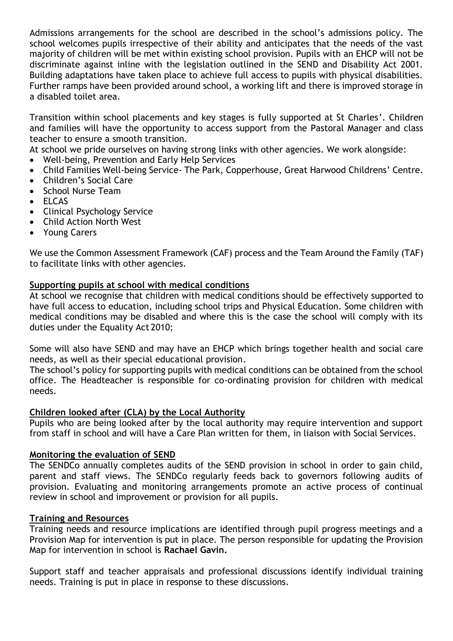Admissions arrangements for the school are described in the school's admissions policy. The school welcomes pupils irrespective of their ability and anticipates that the needs of the vast majority of children will be met within existing school provision. Pupils with an EHCP will not be discriminate against inline with the legislation outlined in the SEND and Disability Act 2001. Building adaptations have taken place to achieve full access to pupils with physical disabilities. Further ramps have been provided around school, a working lift and there is improved storage in a disabled toilet area.

Transition within school placements and key stages is fully supported at St Charles'. Children and families will have the opportunity to access support from the Pastoral Manager and class teacher to ensure a smooth transition.

At school we pride ourselves on having strong links with other agencies. We work alongside:

- Well-being, Prevention and Early Help Services
- Child Families Well-being Service- The Park, Copperhouse, Great Harwood Childrens' Centre.
- Children's Social Care
- School Nurse Team
- ELCAS
- Clinical Psychology Service
- Child Action North West
- Young Carers

We use the Common Assessment Framework (CAF) process and the Team Around the Family (TAF) to facilitate links with other agencies.

#### **Supporting pupils at school with medical conditions**

At school we recognise that children with medical conditions should be effectively supported to have full access to education, including school trips and Physical Education. Some children with medical conditions may be disabled and where this is the case the school will comply with its duties under the Equality Act 2010;

Some will also have SEND and may have an EHCP which brings together health and social care needs, as well as their special educational provision.

The school's policy for supporting pupils with medical conditions can be obtained from the school office. The Headteacher is responsible for co-ordinating provision for children with medical needs.

#### **Children looked after (CLA) by the Local Authority**

Pupils who are being looked after by the local authority may require intervention and support from staff in school and will have a Care Plan written for them, in liaison with Social Services.

#### **Monitoring the evaluation of SEND**

The SENDCo annually completes audits of the SEND provision in school in order to gain child, parent and staff views. The SENDCo regularly feeds back to governors following audits of provision. Evaluating and monitoring arrangements promote an active process of continual review in school and improvement or provision for all pupils.

#### **Training and Resources**

Training needs and resource implications are identified through pupil progress meetings and a Provision Map for intervention is put in place. The person responsible for updating the Provision Map for intervention in school is **Rachael Gavin.**

Support staff and teacher appraisals and professional discussions identify individual training needs. Training is put in place in response to these discussions.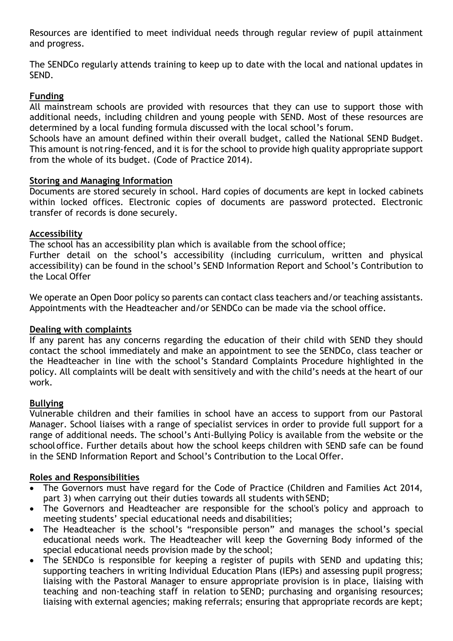Resources are identified to meet individual needs through regular review of pupil attainment and progress.

The SENDCo regularly attends training to keep up to date with the local and national updates in SEND.

# **Funding**

All mainstream schools are provided with resources that they can use to support those with additional needs, including children and young people with SEND. Most of these resources are determined by a local funding formula discussed with the local school's forum.

Schools have an amount defined within their overall budget, called the National SEND Budget. This amount is notring-fenced, and it is for the school to provide high quality appropriate support from the whole of its budget. (Code of Practice 2014).

#### **Storing and Managing Information**

Documents are stored securely in school. Hard copies of documents are kept in locked cabinets within locked offices. Electronic copies of documents are password protected. Electronic transfer of records is done securely.

## **Accessibility**

The school has an accessibility plan which is available from the school office;

Further detail on the school's accessibility (including curriculum, written and physical accessibility) can be found in the school's SEND Information Report and School's Contribution to the Local Offer

We operate an Open Door policy so parents can contact class teachers and/or teaching assistants. Appointments with the Headteacher and/or SENDCo can be made via the school office.

## **Dealing with complaints**

If any parent has any concerns regarding the education of their child with SEND they should contact the school immediately and make an appointment to see the SENDCo, class teacher or the Headteacher in line with the school's Standard Complaints Procedure highlighted in the policy. All complaints will be dealt with sensitively and with the child's needs at the heart of our work.

## **Bullying**

Vulnerable children and their families in school have an access to support from our Pastoral Manager. School liaises with a range of specialist services in order to provide full support for a range of additional needs. The school's Anti-Bullying Policy is available from the website or the schooloffice. Further details about how the school keeps children with SEND safe can be found in the SEND Information Report and School's Contribution to the Local Offer.

#### **Roles and Responsibilities**

- The Governors must have regard for the Code of Practice (Children and Families Act 2014, part 3) when carrying out their duties towards all students with SEND;
- The Governors and Headteacher are responsible for the school's policy and approach to meeting students' special educational needs and disabilities;
- The Headteacher is the school's "responsible person" and manages the school's special educational needs work. The Headteacher will keep the Governing Body informed of the special educational needs provision made by the school;
- The SENDCo is responsible for keeping a register of pupils with SEND and updating this; supporting teachers in writing Individual Education Plans (IEPs) and assessing pupil progress; liaising with the Pastoral Manager to ensure appropriate provision is in place, liaising with teaching and non-teaching staff in relation to SEND; purchasing and organising resources; liaising with external agencies; making referrals; ensuring that appropriate records are kept;